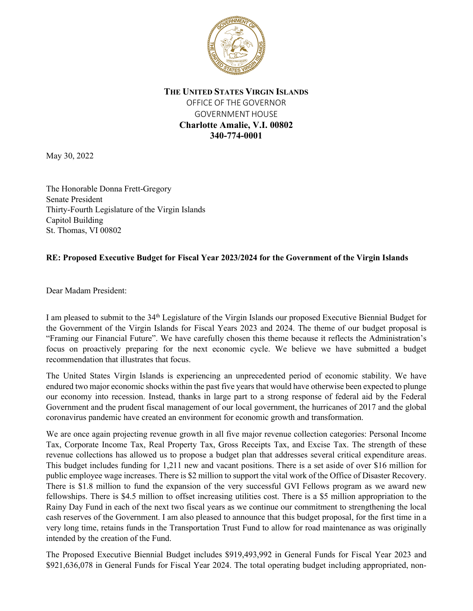

## **THE UNITED STATES VIRGIN ISLANDS** OFFICE OF THE GOVERNOR GOVERNMENT HOUSE **Charlotte Amalie, V.I. 00802 340-774-0001**

May 30, 2022

The Honorable Donna Frett-Gregory Senate President Thirty-Fourth Legislature of the Virgin Islands Capitol Building St. Thomas, VI 00802

## **RE: Proposed Executive Budget for Fiscal Year 2023/2024 for the Government of the Virgin Islands**

Dear Madam President:

I am pleased to submit to the 34<sup>th</sup> Legislature of the Virgin Islands our proposed Executive Biennial Budget for the Government of the Virgin Islands for Fiscal Years 2023 and 2024. The theme of our budget proposal is "Framing our Financial Future". We have carefully chosen this theme because it reflects the Administration's focus on proactively preparing for the next economic cycle. We believe we have submitted a budget recommendation that illustrates that focus.

The United States Virgin Islands is experiencing an unprecedented period of economic stability. We have endured two major economic shocks within the past five years that would have otherwise been expected to plunge our economy into recession. Instead, thanks in large part to a strong response of federal aid by the Federal Government and the prudent fiscal management of our local government, the hurricanes of 2017 and the global coronavirus pandemic have created an environment for economic growth and transformation.

We are once again projecting revenue growth in all five major revenue collection categories: Personal Income Tax, Corporate Income Tax, Real Property Tax, Gross Receipts Tax, and Excise Tax. The strength of these revenue collections has allowed us to propose a budget plan that addresses several critical expenditure areas. This budget includes funding for 1,211 new and vacant positions. There is a set aside of over \$16 million for public employee wage increases. There is \$2 million to support the vital work of the Office of Disaster Recovery. There is \$1.8 million to fund the expansion of the very successful GVI Fellows program as we award new fellowships. There is \$4.5 million to offset increasing utilities cost. There is a \$5 million appropriation to the Rainy Day Fund in each of the next two fiscal years as we continue our commitment to strengthening the local cash reserves of the Government. I am also pleased to announce that this budget proposal, for the first time in a very long time, retains funds in the Transportation Trust Fund to allow for road maintenance as was originally intended by the creation of the Fund.

The Proposed Executive Biennial Budget includes \$919,493,992 in General Funds for Fiscal Year 2023 and \$921,636,078 in General Funds for Fiscal Year 2024. The total operating budget including appropriated, non